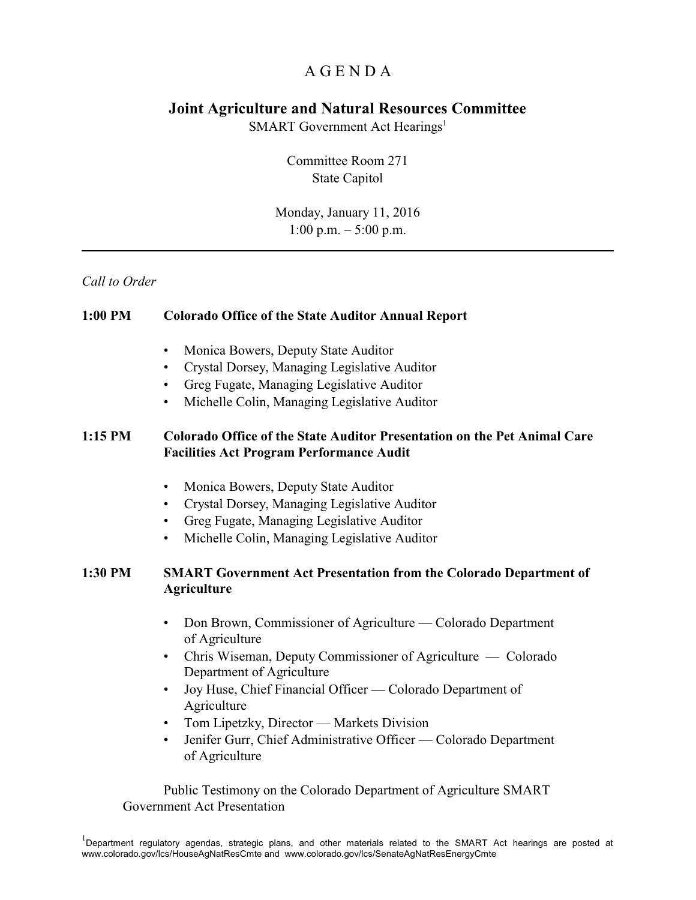## A G E N D A

## **Joint Agriculture and Natural Resources Committee**

SMART Government Act Hearings<sup>1</sup>

Committee Room 271 State Capitol

Monday, January 11, 2016 1:00 p.m. – 5:00 p.m.

## *Call to Order*

| 1:00 PM | <b>Colorado Office of the State Auditor Annual Report</b>                                                                                                                                                                                                                                                                                                                                                                          |
|---------|------------------------------------------------------------------------------------------------------------------------------------------------------------------------------------------------------------------------------------------------------------------------------------------------------------------------------------------------------------------------------------------------------------------------------------|
|         | Monica Bowers, Deputy State Auditor<br>$\bullet$<br>Crystal Dorsey, Managing Legislative Auditor<br>Greg Fugate, Managing Legislative Auditor<br>Michelle Colin, Managing Legislative Auditor                                                                                                                                                                                                                                      |
| 1:15 PM | <b>Colorado Office of the State Auditor Presentation on the Pet Animal Care</b><br><b>Facilities Act Program Performance Audit</b>                                                                                                                                                                                                                                                                                                 |
| 1:30 PM | Monica Bowers, Deputy State Auditor<br>$\bullet$<br>Crystal Dorsey, Managing Legislative Auditor<br>$\bullet$<br>Greg Fugate, Managing Legislative Auditor<br>Michelle Colin, Managing Legislative Auditor<br><b>SMART Government Act Presentation from the Colorado Department of</b><br><b>Agriculture</b>                                                                                                                       |
|         | Don Brown, Commissioner of Agriculture — Colorado Department<br>of Agriculture<br>Chris Wiseman, Deputy Commissioner of Agriculture — Colorado<br>Department of Agriculture<br>Joy Huse, Chief Financial Officer — Colorado Department of<br>$\bullet$<br>Agriculture<br>Tom Lipetzky, Director — Markets Division<br>$\bullet$<br>Jenifer Gurr, Chief Administrative Officer — Colorado Department<br>$\bullet$<br>of Agriculture |
|         | Public Testimony on the Colorado Department of Agriculture SMART<br><b>Government Act Presentation</b>                                                                                                                                                                                                                                                                                                                             |